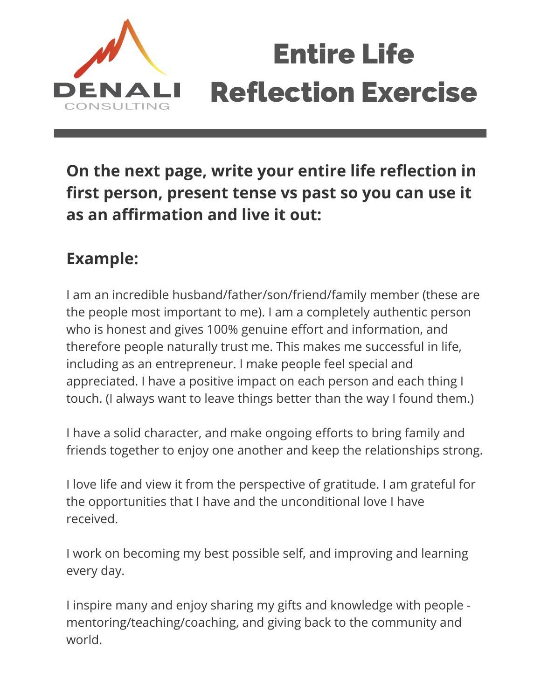

## Entire Life Reflection Exercise

**On the next page, write your entire life reflection in first person, present tense vs past so you can use it as an affirmation and live it out:**

## **Example:**

I am an incredible husband/father/son/friend/family member (these are the people most important to me). I am a completely authentic person who is honest and gives 100% genuine effort and information, and therefore people naturally trust me. This makes me successful in life, including as an entrepreneur. I make people feel special and appreciated. I have a positive impact on each person and each thing I touch. (I always want to leave things better than the way I found them.)

I have a solid character, and make ongoing efforts to bring family and friends together to enjoy one another and keep the relationships strong.

I love life and view it from the perspective of gratitude. I am grateful for the opportunities that I have and the unconditional love I have received.

I work on becoming my best possible self, and improving and learning every day.

I inspire many and enjoy sharing my gifts and knowledge with people mentoring/teaching/coaching, and giving back to the community and world.